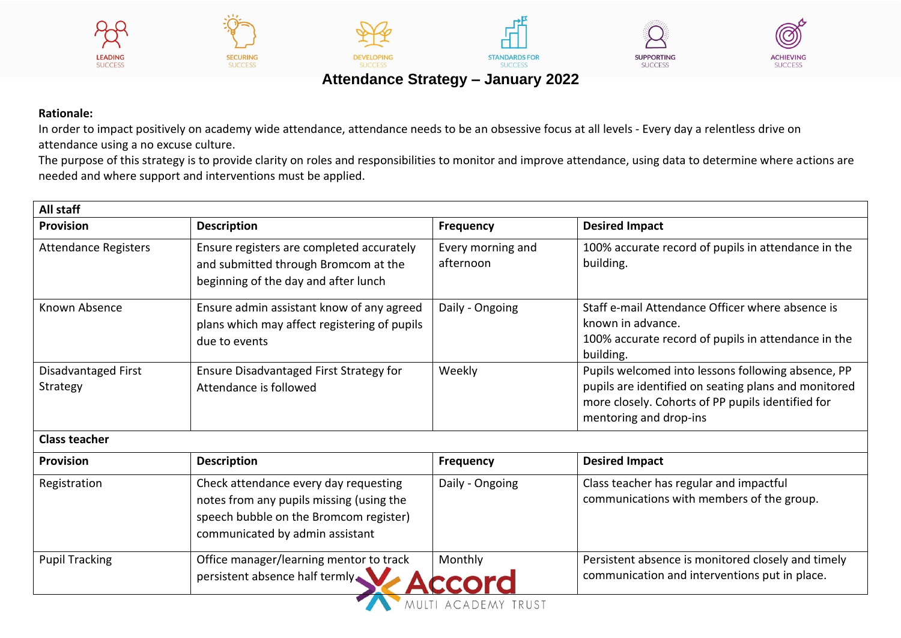







## **Attendance Strategy – January 2022**

## **Rationale:**

In order to impact positively on academy wide attendance, attendance needs to be an obsessive focus at all levels - Every day a relentless drive on attendance using a no excuse culture.

**DEVELOPIN** 

The purpose of this strategy is to provide clarity on roles and responsibilities to monitor and improve attendance, using data to determine where actions are needed and where support and interventions must be applied.

| All staff                       |                                                                                                                                                                |                                |                                                                                                                                                                                           |  |  |
|---------------------------------|----------------------------------------------------------------------------------------------------------------------------------------------------------------|--------------------------------|-------------------------------------------------------------------------------------------------------------------------------------------------------------------------------------------|--|--|
| <b>Provision</b>                | <b>Description</b>                                                                                                                                             | <b>Frequency</b>               | <b>Desired Impact</b>                                                                                                                                                                     |  |  |
| <b>Attendance Registers</b>     | Ensure registers are completed accurately<br>and submitted through Bromcom at the<br>beginning of the day and after lunch                                      | Every morning and<br>afternoon | 100% accurate record of pupils in attendance in the<br>building.                                                                                                                          |  |  |
| Known Absence                   | Ensure admin assistant know of any agreed<br>plans which may affect registering of pupils<br>due to events                                                     | Daily - Ongoing                | Staff e-mail Attendance Officer where absence is<br>known in advance.<br>100% accurate record of pupils in attendance in the<br>building.                                                 |  |  |
| Disadvantaged First<br>Strategy | Ensure Disadvantaged First Strategy for<br>Attendance is followed                                                                                              | Weekly                         | Pupils welcomed into lessons following absence, PP<br>pupils are identified on seating plans and monitored<br>more closely. Cohorts of PP pupils identified for<br>mentoring and drop-ins |  |  |
| <b>Class teacher</b>            |                                                                                                                                                                |                                |                                                                                                                                                                                           |  |  |
| <b>Provision</b>                | <b>Description</b>                                                                                                                                             | <b>Frequency</b>               | <b>Desired Impact</b>                                                                                                                                                                     |  |  |
| Registration                    | Check attendance every day requesting<br>notes from any pupils missing (using the<br>speech bubble on the Bromcom register)<br>communicated by admin assistant | Daily - Ongoing                | Class teacher has regular and impactful<br>communications with members of the group.                                                                                                      |  |  |
| <b>Pupil Tracking</b>           | Office manager/learning mentor to track<br>persistent absence half termly.                                                                                     | Monthly                        | Persistent absence is monitored closely and timely<br>communication and interventions put in place.                                                                                       |  |  |
|                                 |                                                                                                                                                                | MULTI ACADEMY TRUST            |                                                                                                                                                                                           |  |  |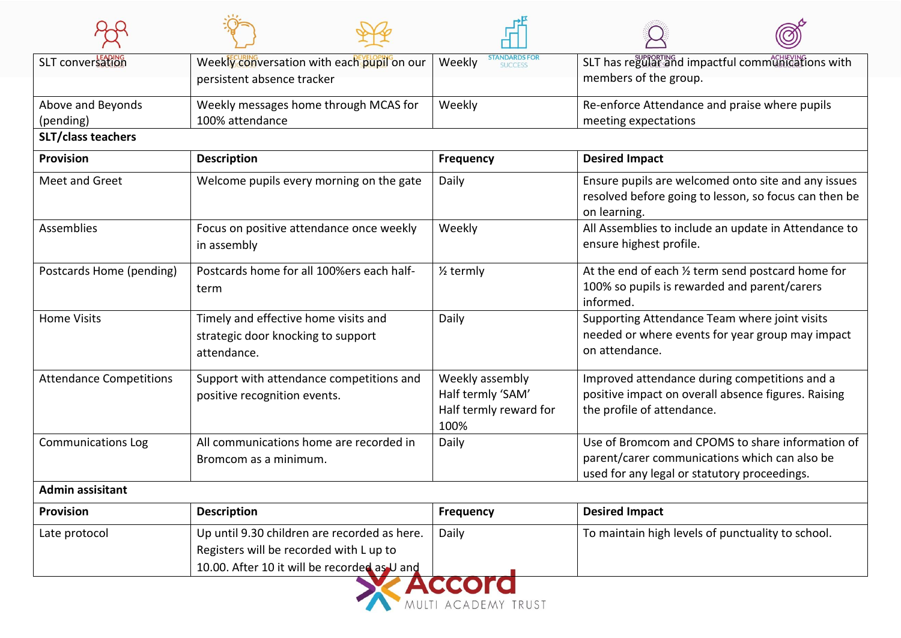| SLT conversation               | Weekly conversation with each pupil on our                                                | Weekly<br><b>SUCCESS</b>                                               | SLT has regular and impactful communications with                                                                                                 |  |
|--------------------------------|-------------------------------------------------------------------------------------------|------------------------------------------------------------------------|---------------------------------------------------------------------------------------------------------------------------------------------------|--|
|                                | persistent absence tracker                                                                |                                                                        | members of the group.                                                                                                                             |  |
| Above and Beyonds              | Weekly messages home through MCAS for                                                     | Weekly                                                                 | Re-enforce Attendance and praise where pupils                                                                                                     |  |
| (pending)                      | 100% attendance                                                                           |                                                                        | meeting expectations                                                                                                                              |  |
| <b>SLT/class teachers</b>      |                                                                                           |                                                                        |                                                                                                                                                   |  |
| <b>Provision</b>               | <b>Description</b>                                                                        | <b>Frequency</b>                                                       | <b>Desired Impact</b>                                                                                                                             |  |
| Meet and Greet                 | Welcome pupils every morning on the gate                                                  | Daily                                                                  | Ensure pupils are welcomed onto site and any issues<br>resolved before going to lesson, so focus can then be<br>on learning.                      |  |
| Assemblies                     | Focus on positive attendance once weekly<br>in assembly                                   | Weekly                                                                 | All Assemblies to include an update in Attendance to<br>ensure highest profile.                                                                   |  |
| Postcards Home (pending)       | Postcards home for all 100%ers each half-<br>term                                         | $\frac{1}{2}$ termly                                                   | At the end of each 1/2 term send postcard home for<br>100% so pupils is rewarded and parent/carers<br>informed.                                   |  |
| <b>Home Visits</b>             | Timely and effective home visits and<br>strategic door knocking to support<br>attendance. | Daily                                                                  | Supporting Attendance Team where joint visits<br>needed or where events for year group may impact<br>on attendance.                               |  |
| <b>Attendance Competitions</b> | Support with attendance competitions and<br>positive recognition events.                  | Weekly assembly<br>Half termly 'SAM'<br>Half termly reward for<br>100% | Improved attendance during competitions and a<br>positive impact on overall absence figures. Raising<br>the profile of attendance.                |  |
| <b>Communications Log</b>      | All communications home are recorded in<br>Bromcom as a minimum.                          | Daily                                                                  | Use of Bromcom and CPOMS to share information of<br>parent/carer communications which can also be<br>used for any legal or statutory proceedings. |  |
| <b>Admin assisitant</b>        |                                                                                           |                                                                        |                                                                                                                                                   |  |
| <b>Provision</b>               | <b>Description</b>                                                                        | <b>Frequency</b>                                                       | <b>Desired Impact</b>                                                                                                                             |  |
| Late protocol                  | Up until 9.30 children are recorded as here.                                              | Daily                                                                  | To maintain high levels of punctuality to school.                                                                                                 |  |
|                                | Registers will be recorded with L up to                                                   |                                                                        |                                                                                                                                                   |  |
|                                | 10.00. After 10 it will be recorded as U and                                              |                                                                        |                                                                                                                                                   |  |

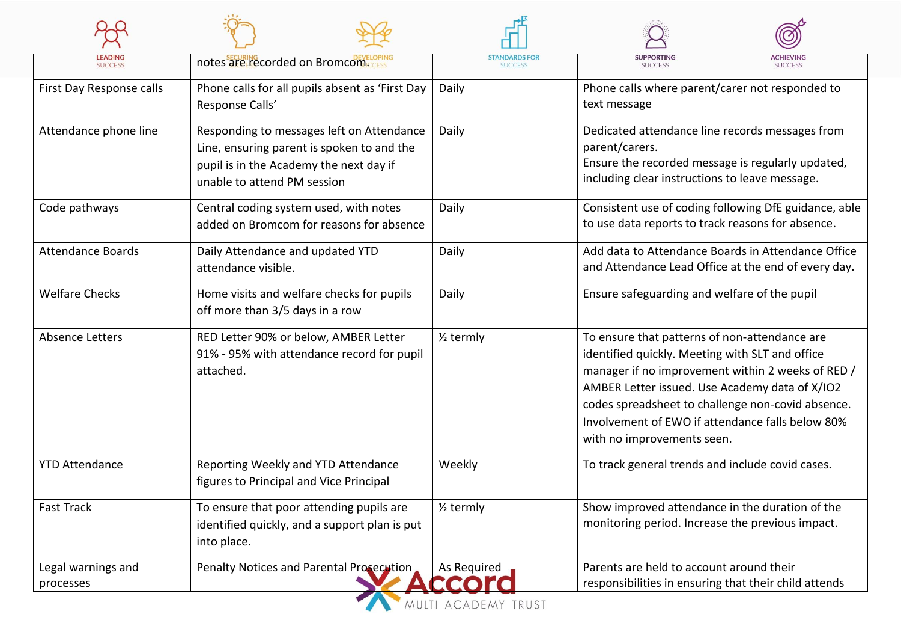| <b>LEADING</b><br><b>SUCCESS</b> | notes are recorded on Bromcom                                                                                                                                     | <b>STANDARDS FOR</b><br><b>SUCCESS</b> | <b>SUPPORTING</b><br><b>ACHIEVING</b><br><b>SUCCESS</b><br><b>SUCCESS</b>                                                                                                                                                                                                                                                                      |  |
|----------------------------------|-------------------------------------------------------------------------------------------------------------------------------------------------------------------|----------------------------------------|------------------------------------------------------------------------------------------------------------------------------------------------------------------------------------------------------------------------------------------------------------------------------------------------------------------------------------------------|--|
| First Day Response calls         | Phone calls for all pupils absent as 'First Day<br>Response Calls'                                                                                                | Daily                                  | Phone calls where parent/carer not responded to<br>text message                                                                                                                                                                                                                                                                                |  |
| Attendance phone line            | Responding to messages left on Attendance<br>Line, ensuring parent is spoken to and the<br>pupil is in the Academy the next day if<br>unable to attend PM session | Daily                                  | Dedicated attendance line records messages from<br>parent/carers.<br>Ensure the recorded message is regularly updated,<br>including clear instructions to leave message.                                                                                                                                                                       |  |
| Code pathways                    | Central coding system used, with notes<br>added on Bromcom for reasons for absence                                                                                | Daily                                  | Consistent use of coding following DfE guidance, able<br>to use data reports to track reasons for absence.                                                                                                                                                                                                                                     |  |
| <b>Attendance Boards</b>         | Daily Attendance and updated YTD<br>attendance visible.                                                                                                           | Daily                                  | Add data to Attendance Boards in Attendance Office<br>and Attendance Lead Office at the end of every day.                                                                                                                                                                                                                                      |  |
| <b>Welfare Checks</b>            | Home visits and welfare checks for pupils<br>off more than 3/5 days in a row                                                                                      | Daily                                  | Ensure safeguarding and welfare of the pupil                                                                                                                                                                                                                                                                                                   |  |
| Absence Letters                  | RED Letter 90% or below, AMBER Letter<br>91% - 95% with attendance record for pupil<br>attached.                                                                  | $\frac{1}{2}$ termly                   | To ensure that patterns of non-attendance are<br>identified quickly. Meeting with SLT and office<br>manager if no improvement within 2 weeks of RED /<br>AMBER Letter issued. Use Academy data of X/IO2<br>codes spreadsheet to challenge non-covid absence.<br>Involvement of EWO if attendance falls below 80%<br>with no improvements seen. |  |
| <b>YTD Attendance</b>            | Reporting Weekly and YTD Attendance<br>figures to Principal and Vice Principal                                                                                    | Weekly                                 | To track general trends and include covid cases.                                                                                                                                                                                                                                                                                               |  |
| <b>Fast Track</b>                | To ensure that poor attending pupils are<br>identified quickly, and a support plan is put<br>into place.                                                          | $\frac{1}{2}$ termly                   | Show improved attendance in the duration of the<br>monitoring period. Increase the previous impact.                                                                                                                                                                                                                                            |  |
| Legal warnings and<br>processes  | Penalty Notices and Parental Prosecution,                                                                                                                         | As Required                            | Parents are held to account around their<br>responsibilities in ensuring that their child attends                                                                                                                                                                                                                                              |  |

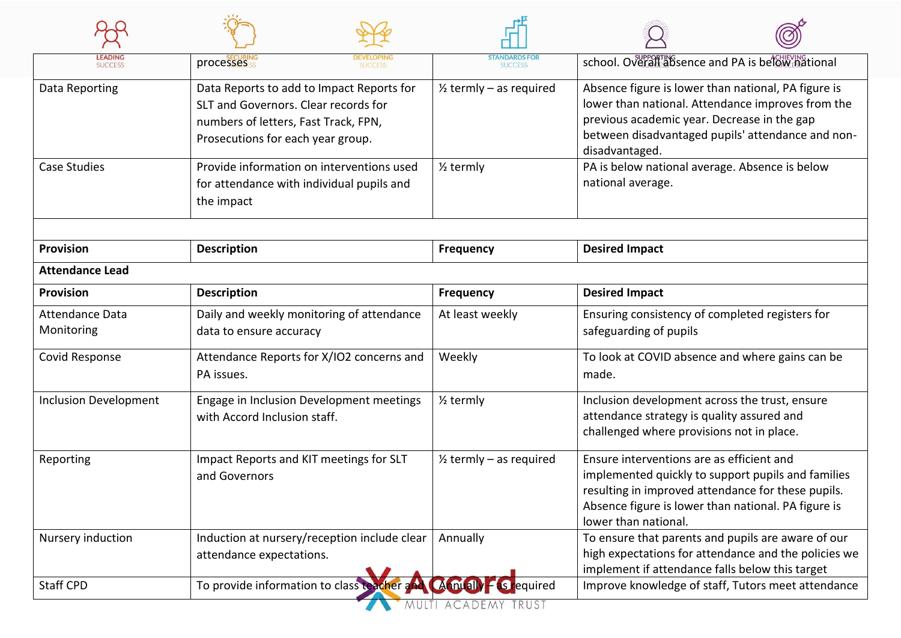| processesses<br><b>SUCCESS</b>                                                                                                                                 | <b>SUCCESS</b>                     | school. Overall absence and PA is below pational                                                                                                                                                                                     |  |
|----------------------------------------------------------------------------------------------------------------------------------------------------------------|------------------------------------|--------------------------------------------------------------------------------------------------------------------------------------------------------------------------------------------------------------------------------------|--|
| Data Reports to add to Impact Reports for<br>SLT and Governors. Clear records for<br>numbers of letters, Fast Track, FPN,<br>Prosecutions for each year group. | $\frac{1}{2}$ termly – as required | Absence figure is lower than national, PA figure is<br>lower than national. Attendance improves from the<br>previous academic year. Decrease in the gap<br>between disadvantaged pupils' attendance and non-<br>disadvantaged.       |  |
| Provide information on interventions used<br>for attendance with individual pupils and<br>the impact                                                           | $\frac{1}{2}$ termly               | PA is below national average. Absence is below<br>national average.                                                                                                                                                                  |  |
| <b>Description</b>                                                                                                                                             | <b>Frequency</b>                   | <b>Desired Impact</b>                                                                                                                                                                                                                |  |
|                                                                                                                                                                |                                    |                                                                                                                                                                                                                                      |  |
| <b>Description</b>                                                                                                                                             | <b>Frequency</b>                   | <b>Desired Impact</b>                                                                                                                                                                                                                |  |
| Daily and weekly monitoring of attendance<br>data to ensure accuracy                                                                                           | At least weekly                    | Ensuring consistency of completed registers for<br>safeguarding of pupils                                                                                                                                                            |  |
| Attendance Reports for X/IO2 concerns and<br>PA issues.                                                                                                        | Weekly                             | To look at COVID absence and where gains can be<br>made.                                                                                                                                                                             |  |
| Engage in Inclusion Development meetings<br>with Accord Inclusion staff.                                                                                       | $\frac{1}{2}$ termly               | Inclusion development across the trust, ensure<br>attendance strategy is quality assured and<br>challenged where provisions not in place.                                                                                            |  |
| Impact Reports and KIT meetings for SLT<br>and Governors                                                                                                       | $\frac{1}{2}$ termly – as required | Ensure interventions are as efficient and<br>implemented quickly to support pupils and families<br>resulting in improved attendance for these pupils.<br>Absence figure is lower than national. PA figure is<br>lower than national. |  |
| Induction at nursery/reception include clear<br>attendance expectations.                                                                                       | Annually                           | To ensure that parents and pupils are aware of our<br>high expectations for attendance and the policies we<br>implement if attendance falls below this target                                                                        |  |
| To provide information to class teacher and                                                                                                                    |                                    | Improve knowledge of staff, Tutors meet attendance                                                                                                                                                                                   |  |
|                                                                                                                                                                |                                    | $(A_1 m(a)) - S_1$ equired                                                                                                                                                                                                           |  |